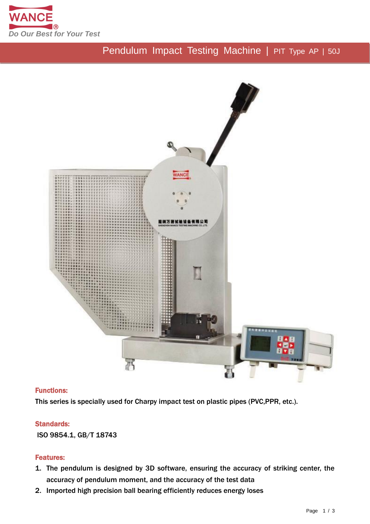

# Pendulum Impact Testing Machine | PIT Type AP | 50J



### Functions:

This series is specially used for Charpy impact test on plastic pipes (PVC,PPR, etc.).

### Standards:

ISO 9854.1, GB/T 18743

### Features:

- 1. The pendulum is designed by 3D software, ensuring the accuracy of striking center, the accuracy of pendulum moment, and the accuracy of the test data
- 2. Imported high precision ball bearing efficiently reduces energy loses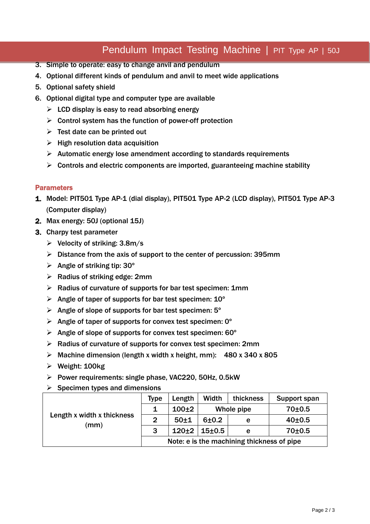### Pendulum Impact Testing Machine | PIT Type AP | 50J

- 3. Simple to operate: easy to change anvil and pendulum
- 4. Optional different kinds of pendulum and anvil to meet wide applications
- 5. Optional safety shield
- 6. Optional digital type and computer type are available
	- $\triangleright$  LCD display is easy to read absorbing energy
	- $\triangleright$  Control system has the function of power-off protection
	- $\triangleright$  Test date can be printed out
	- $\triangleright$  High resolution data acquisition
	- $\triangleright$  Automatic energy lose amendment according to standards requirements
	- $\triangleright$  Controls and electric components are imported, guaranteeing machine stability

#### **Parameters**

- 1. Model: PIT501 Type AP-1 (dial display), PIT501 Type AP-2 (LCD display), PIT501 Type AP-3 (Computer display)
- 2. Max energy: 50J (optional 15J)
- 3. Charpy test parameter
	- $\triangleright$  Velocity of striking: 3.8m/s
	- $\triangleright$  Distance from the axis of support to the center of percussion: 395mm
	- $\triangleright$  Angle of striking tip: 30°
	- $\triangleright$  Radius of striking edge: 2mm
	- $\triangleright$  Radius of curvature of supports for bar test specimen: 1mm
	- $\triangleright$  Angle of taper of supports for bar test specimen: 10<sup>°</sup>
	- $\triangleright$  Angle of slope of supports for bar test specimen: 5 $^{\circ}$
	- $\triangleright$  Angle of taper of supports for convex test specimen: 0°
	- $\triangleright$  Angle of slope of supports for convex test specimen: 60 $^{\circ}$
	- $\triangleright$  Radius of curvature of supports for convex test specimen: 2mm
	- $\triangleright$  Machine dimension (length x width x height, mm): 480 x 340 x 805
	- $\triangleright$  Weight: 100kg
	- $\triangleright$  Power requirements: single phase, VAC220, 50Hz, 0.5kW
	- $\triangleright$  Specimen types and dimensions

| Length x width x thickness<br>(mm) | <b>Type</b>                                | Length   | Width                      | thickness | Support span        |
|------------------------------------|--------------------------------------------|----------|----------------------------|-----------|---------------------|
|                                    |                                            | $100+2$  | Whole pipe                 |           | $70+0.5$            |
|                                    | $\mathbf{2}$                               | $50 + 1$ | $6 + 0.2$                  | е         | 40 <sub>±</sub> 0.5 |
|                                    | 3                                          |          | $120 \pm 2$   15 $\pm$ 0.5 | е         | $70 + 0.5$          |
|                                    | Note: e is the machining thickness of pipe |          |                            |           |                     |